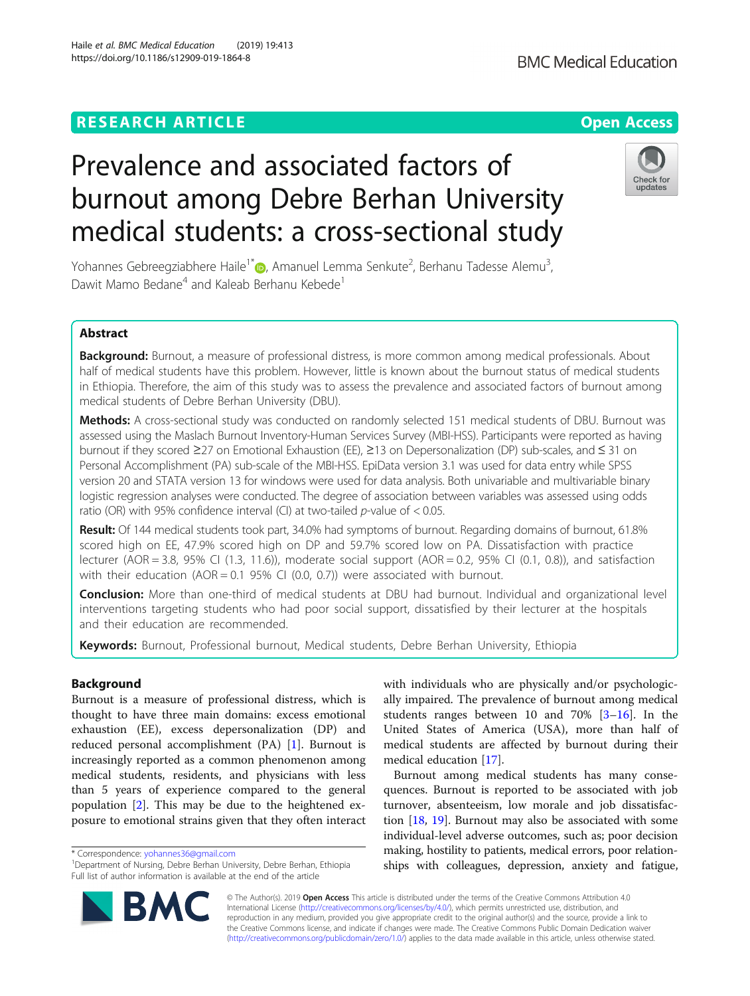# **RESEARCH ARTICLE Example 2014 12:30 The Contract of Contract ACCESS**

# Prevalence and associated factors of burnout among Debre Berhan University

Yohannes Gebreegziabhere Haile<sup>1[\\*](http://orcid.org/0000-0003-3649-9555)</sup> D, Amanuel Lemma Senkute<sup>2</sup>, Berhanu Tadesse Alemu<sup>3</sup> , Dawit Mamo Bedane<sup>4</sup> and Kaleab Berhanu Kebede<sup>1</sup>

medical students: a cross-sectional study

# Abstract

Background: Burnout, a measure of professional distress, is more common among medical professionals. About half of medical students have this problem. However, little is known about the burnout status of medical students in Ethiopia. Therefore, the aim of this study was to assess the prevalence and associated factors of burnout among medical students of Debre Berhan University (DBU).

Methods: A cross-sectional study was conducted on randomly selected 151 medical students of DBU. Burnout was assessed using the Maslach Burnout Inventory-Human Services Survey (MBI-HSS). Participants were reported as having burnout if they scored ≥27 on Emotional Exhaustion (EE), ≥13 on Depersonalization (DP) sub-scales, and ≤ 31 on Personal Accomplishment (PA) sub-scale of the MBI-HSS. EpiData version 3.1 was used for data entry while SPSS version 20 and STATA version 13 for windows were used for data analysis. Both univariable and multivariable binary logistic regression analyses were conducted. The degree of association between variables was assessed using odds ratio (OR) with 95% confidence interval (CI) at two-tailed  $p$ -value of < 0.05.

Result: Of 144 medical students took part, 34.0% had symptoms of burnout. Regarding domains of burnout, 61.8% scored high on EE, 47.9% scored high on DP and 59.7% scored low on PA. Dissatisfaction with practice lecturer (AOR = 3.8, 95% CI (1.3, 11.6)), moderate social support (AOR = 0.2, 95% CI (0.1, 0.8)), and satisfaction with their education (AOR = 0.1 95% CI (0.0, 0.7)) were associated with burnout.

**Conclusion:** More than one-third of medical students at DBU had burnout. Individual and organizational level interventions targeting students who had poor social support, dissatisfied by their lecturer at the hospitals and their education are recommended.

Keywords: Burnout, Professional burnout, Medical students, Debre Berhan University, Ethiopia

# Background

Burnout is a measure of professional distress, which is thought to have three main domains: excess emotional exhaustion (EE), excess depersonalization (DP) and reduced personal accomplishment (PA) [\[1\]](#page-9-0). Burnout is increasingly reported as a common phenomenon among medical students, residents, and physicians with less than 5 years of experience compared to the general population [\[2](#page-9-0)]. This may be due to the heightened exposure to emotional strains given that they often interact

\* Correspondence: [yohannes36@gmail.com](mailto:yohannes36@gmail.com) <sup>1</sup>

ally impaired. The prevalence of burnout among medical students ranges between 10 and 70%  $[3-16]$  $[3-16]$  $[3-16]$ . In the United States of America (USA), more than half of medical students are affected by burnout during their medical education [\[17](#page-9-0)]. Burnout among medical students has many conse-

with individuals who are physically and/or psychologic-

quences. Burnout is reported to be associated with job turnover, absenteeism, low morale and job dissatisfaction [[18](#page-10-0), [19\]](#page-10-0). Burnout may also be associated with some individual-level adverse outcomes, such as; poor decision making, hostility to patients, medical errors, poor relationships with colleagues, depression, anxiety and fatigue,

© The Author(s). 2019 **Open Access** This article is distributed under the terms of the Creative Commons Attribution 4.0 International License [\(http://creativecommons.org/licenses/by/4.0/](http://creativecommons.org/licenses/by/4.0/)), which permits unrestricted use, distribution, and reproduction in any medium, provided you give appropriate credit to the original author(s) and the source, provide a link to the Creative Commons license, and indicate if changes were made. The Creative Commons Public Domain Dedication waiver [\(http://creativecommons.org/publicdomain/zero/1.0/](http://creativecommons.org/publicdomain/zero/1.0/)) applies to the data made available in this article, unless otherwise stated.





<sup>&</sup>lt;sup>1</sup>Department of Nursing, Debre Berhan University, Debre Berhan, Ethiopia Full list of author information is available at the end of the article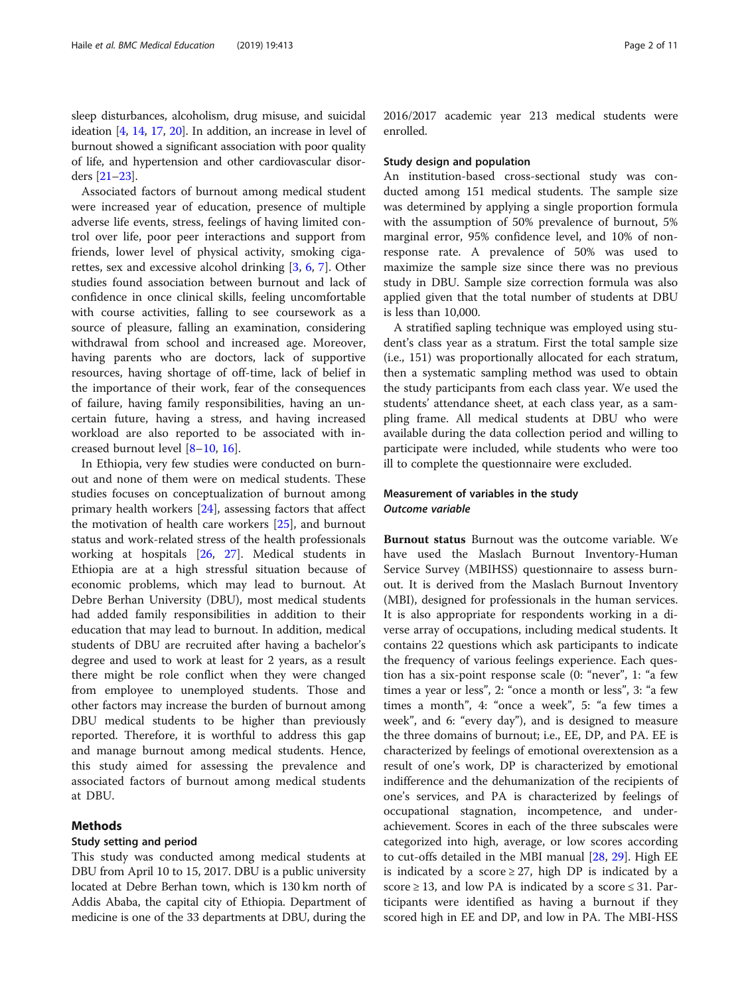Associated factors of burnout among medical student were increased year of education, presence of multiple adverse life events, stress, feelings of having limited control over life, poor peer interactions and support from friends, lower level of physical activity, smoking cigarettes, sex and excessive alcohol drinking [\[3](#page-9-0), [6,](#page-9-0) [7\]](#page-9-0). Other studies found association between burnout and lack of confidence in once clinical skills, feeling uncomfortable with course activities, falling to see coursework as a source of pleasure, falling an examination, considering withdrawal from school and increased age. Moreover, having parents who are doctors, lack of supportive resources, having shortage of off-time, lack of belief in the importance of their work, fear of the consequences of failure, having family responsibilities, having an uncertain future, having a stress, and having increased workload are also reported to be associated with increased burnout level [\[8](#page-9-0)–[10](#page-9-0), [16](#page-9-0)].

In Ethiopia, very few studies were conducted on burnout and none of them were on medical students. These studies focuses on conceptualization of burnout among primary health workers [[24\]](#page-10-0), assessing factors that affect the motivation of health care workers [\[25](#page-10-0)], and burnout status and work-related stress of the health professionals working at hospitals [[26,](#page-10-0) [27](#page-10-0)]. Medical students in Ethiopia are at a high stressful situation because of economic problems, which may lead to burnout. At Debre Berhan University (DBU), most medical students had added family responsibilities in addition to their education that may lead to burnout. In addition, medical students of DBU are recruited after having a bachelor's degree and used to work at least for 2 years, as a result there might be role conflict when they were changed from employee to unemployed students. Those and other factors may increase the burden of burnout among DBU medical students to be higher than previously reported. Therefore, it is worthful to address this gap and manage burnout among medical students. Hence, this study aimed for assessing the prevalence and associated factors of burnout among medical students at DBU.

# Methods

# Study setting and period

This study was conducted among medical students at DBU from April 10 to 15, 2017. DBU is a public university located at Debre Berhan town, which is 130 km north of Addis Ababa, the capital city of Ethiopia. Department of medicine is one of the 33 departments at DBU, during the 2016/2017 academic year 213 medical students were enrolled.

#### Study design and population

An institution-based cross-sectional study was conducted among 151 medical students. The sample size was determined by applying a single proportion formula with the assumption of 50% prevalence of burnout, 5% marginal error, 95% confidence level, and 10% of nonresponse rate. A prevalence of 50% was used to maximize the sample size since there was no previous study in DBU. Sample size correction formula was also applied given that the total number of students at DBU is less than 10,000.

A stratified sapling technique was employed using student's class year as a stratum. First the total sample size (i.e., 151) was proportionally allocated for each stratum, then a systematic sampling method was used to obtain the study participants from each class year. We used the students' attendance sheet, at each class year, as a sampling frame. All medical students at DBU who were available during the data collection period and willing to participate were included, while students who were too ill to complete the questionnaire were excluded.

# Measurement of variables in the study Outcome variable

Burnout status Burnout was the outcome variable. We have used the Maslach Burnout Inventory-Human Service Survey (MBIHSS) questionnaire to assess burnout. It is derived from the Maslach Burnout Inventory (MBI), designed for professionals in the human services. It is also appropriate for respondents working in a diverse array of occupations, including medical students. It contains 22 questions which ask participants to indicate the frequency of various feelings experience. Each question has a six-point response scale (0: "never", 1: "a few times a year or less", 2: "once a month or less", 3: "a few times a month", 4: "once a week", 5: "a few times a week", and 6: "every day"), and is designed to measure the three domains of burnout; i.e., EE, DP, and PA. EE is characterized by feelings of emotional overextension as a result of one's work, DP is characterized by emotional indifference and the dehumanization of the recipients of one's services, and PA is characterized by feelings of occupational stagnation, incompetence, and underachievement. Scores in each of the three subscales were categorized into high, average, or low scores according to cut-offs detailed in the MBI manual [[28,](#page-10-0) [29\]](#page-10-0). High EE is indicated by a score ≥ 27, high DP is indicated by a score  $\geq$  13, and low PA is indicated by a score  $\leq$  31. Participants were identified as having a burnout if they scored high in EE and DP, and low in PA. The MBI-HSS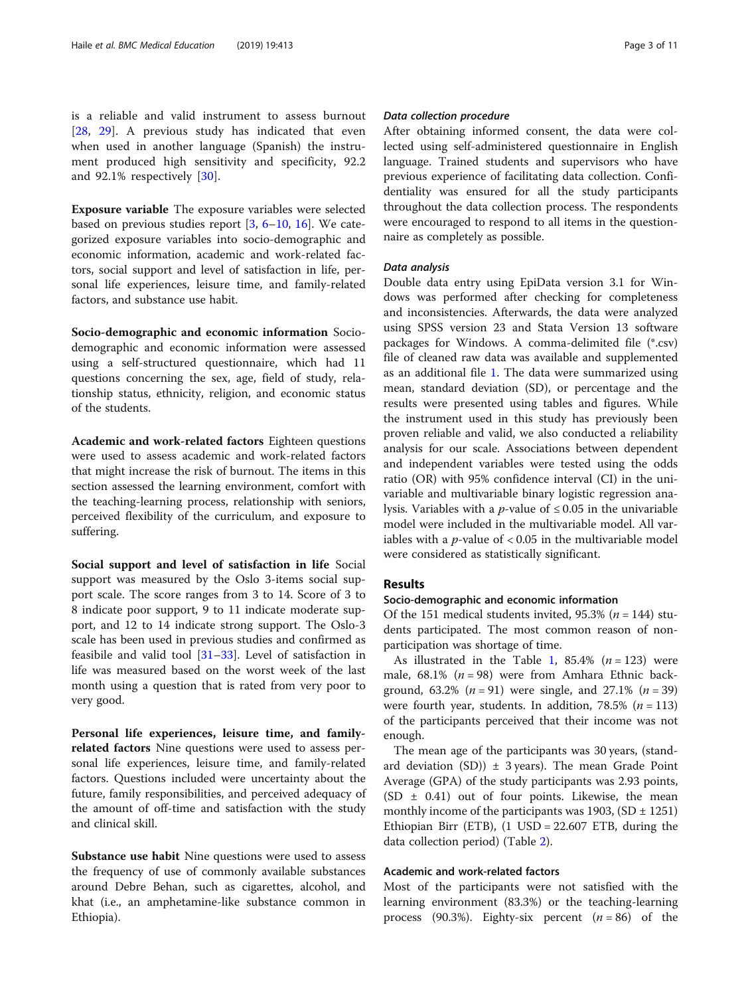is a reliable and valid instrument to assess burnout [[28,](#page-10-0) [29\]](#page-10-0). A previous study has indicated that even when used in another language (Spanish) the instrument produced high sensitivity and specificity, 92.2 and 92.1% respectively [[30\]](#page-10-0).

Exposure variable The exposure variables were selected based on previous studies report  $[3, 6–10, 16]$  $[3, 6–10, 16]$  $[3, 6–10, 16]$  $[3, 6–10, 16]$  $[3, 6–10, 16]$  $[3, 6–10, 16]$  $[3, 6–10, 16]$  $[3, 6–10, 16]$  $[3, 6–10, 16]$ . We categorized exposure variables into socio-demographic and economic information, academic and work-related factors, social support and level of satisfaction in life, personal life experiences, leisure time, and family-related factors, and substance use habit.

Socio-demographic and economic information Sociodemographic and economic information were assessed using a self-structured questionnaire, which had 11 questions concerning the sex, age, field of study, relationship status, ethnicity, religion, and economic status of the students.

Academic and work-related factors Eighteen questions were used to assess academic and work-related factors that might increase the risk of burnout. The items in this section assessed the learning environment, comfort with the teaching-learning process, relationship with seniors, perceived flexibility of the curriculum, and exposure to suffering.

Social support and level of satisfaction in life Social support was measured by the Oslo 3-items social support scale. The score ranges from 3 to 14. Score of 3 to 8 indicate poor support, 9 to 11 indicate moderate support, and 12 to 14 indicate strong support. The Oslo-3 scale has been used in previous studies and confirmed as feasibile and valid tool [[31](#page-10-0)–[33](#page-10-0)]. Level of satisfaction in life was measured based on the worst week of the last month using a question that is rated from very poor to very good.

Personal life experiences, leisure time, and familyrelated factors Nine questions were used to assess personal life experiences, leisure time, and family-related factors. Questions included were uncertainty about the future, family responsibilities, and perceived adequacy of the amount of off-time and satisfaction with the study and clinical skill.

Substance use habit Nine questions were used to assess the frequency of use of commonly available substances around Debre Behan, such as cigarettes, alcohol, and khat (i.e., an amphetamine-like substance common in Ethiopia).

# Data collection procedure

After obtaining informed consent, the data were collected using self-administered questionnaire in English language. Trained students and supervisors who have previous experience of facilitating data collection. Confidentiality was ensured for all the study participants throughout the data collection process. The respondents were encouraged to respond to all items in the questionnaire as completely as possible.

#### Data analysis

Double data entry using EpiData version 3.1 for Windows was performed after checking for completeness and inconsistencies. Afterwards, the data were analyzed using SPSS version 23 and Stata Version 13 software packages for Windows. A comma-delimited file (\*.csv) file of cleaned raw data was available and supplemented as an additional file [1.](#page-9-0) The data were summarized using mean, standard deviation (SD), or percentage and the results were presented using tables and figures. While the instrument used in this study has previously been proven reliable and valid, we also conducted a reliability analysis for our scale. Associations between dependent and independent variables were tested using the odds ratio (OR) with 95% confidence interval (CI) in the univariable and multivariable binary logistic regression analysis. Variables with a *p*-value of  $\leq 0.05$  in the univariable model were included in the multivariable model. All variables with a  $p$ -value of  $< 0.05$  in the multivariable model were considered as statistically significant.

# Results

#### Socio-demographic and economic information

Of the 151 medical students invited, 95.3% ( $n = 144$ ) students participated. The most common reason of nonparticipation was shortage of time.

As illustrated in the Table [1,](#page-3-0) 85.4%  $(n = 123)$  were male,  $68.1\%$  ( $n = 98$ ) were from Amhara Ethnic background, 63.2% ( $n = 91$ ) were single, and 27.1% ( $n = 39$ ) were fourth year, students. In addition, 78.5% ( $n = 113$ ) of the participants perceived that their income was not enough.

The mean age of the participants was 30 years, (standard deviation (SD))  $\pm$  3 years). The mean Grade Point Average (GPA) of the study participants was 2.93 points,  $(SD \pm 0.41)$  out of four points. Likewise, the mean monthly income of the participants was  $1903$ , (SD  $\pm$  1251) Ethiopian Birr (ETB),  $(1 \text{ USD} = 22.607 \text{ ETB}$ , during the data collection period) (Table [2\)](#page-3-0).

### Academic and work-related factors

Most of the participants were not satisfied with the learning environment (83.3%) or the teaching-learning process (90.3%). Eighty-six percent  $(n = 86)$  of the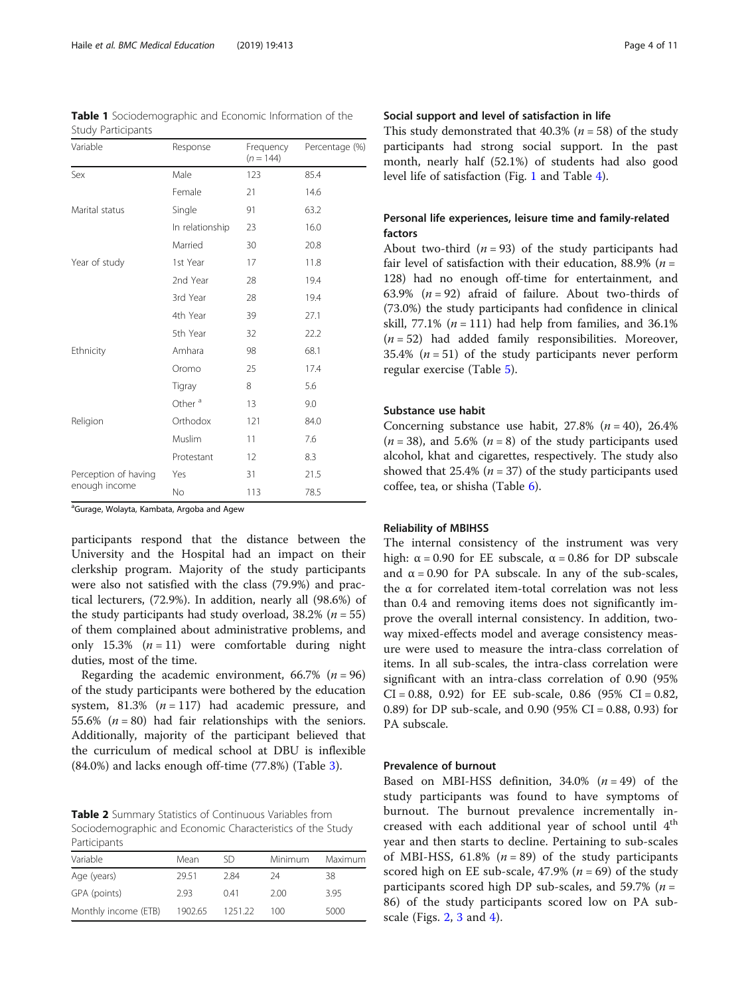| Variable             | Response           | Frequency<br>$(n = 144)$ | Percentage (%) |
|----------------------|--------------------|--------------------------|----------------|
| Sex                  | Male               | 123                      | 85.4           |
|                      | Female             | 21                       | 14.6           |
| Marital status       | Single             | 91                       | 63.2           |
|                      | In relationship    | 23                       | 16.0           |
|                      | Married            | 30                       | 20.8           |
| Year of study        | 1st Year           | 17                       | 11.8           |
|                      | 2nd Year           | 28                       | 19.4           |
|                      | 3rd Year           | 28                       | 19.4           |
|                      | 4th Year           | 39                       | 27.1           |
|                      | 5th Year           | 32                       | 22.2           |
| Ethnicity            | Amhara             | 98                       | 68.1           |
|                      | Oromo              | 25                       | 17.4           |
|                      | Tigray             | 8                        | 5.6            |
|                      | Other <sup>a</sup> | 13                       | 9.0            |
| Religion             | Orthodox           | 121                      | 84.0           |
|                      | Muslim             | 11                       | 7.6            |
|                      | Protestant         | 12                       | 8.3            |
| Perception of having | Yes                | 31                       | 21.5           |
| enough income        | No                 | 113                      | 78.5           |

<span id="page-3-0"></span>

| Table 1 Sociodemographic and Economic Information of the |  |  |
|----------------------------------------------------------|--|--|
| Study Participants                                       |  |  |

<sup>a</sup>Gurage, Wolayta, Kambata, Argoba and Agew

participants respond that the distance between the University and the Hospital had an impact on their clerkship program. Majority of the study participants were also not satisfied with the class (79.9%) and practical lecturers, (72.9%). In addition, nearly all (98.6%) of the study participants had study overload,  $38.2\%$  ( $n = 55$ ) of them complained about administrative problems, and only 15.3%  $(n = 11)$  were comfortable during night duties, most of the time.

Regarding the academic environment,  $66.7\%$  ( $n = 96$ ) of the study participants were bothered by the education system, 81.3% ( $n = 117$ ) had academic pressure, and 55.6% ( $n = 80$ ) had fair relationships with the seniors. Additionally, majority of the participant believed that the curriculum of medical school at DBU is inflexible (84.0%) and lacks enough off-time (77.8%) (Table [3\)](#page-4-0).

Table 2 Summary Statistics of Continuous Variables from Sociodemographic and Economic Characteristics of the Study Participants

| Variable             | Mean    | SD      | Minimum | Maximum |
|----------------------|---------|---------|---------|---------|
| Age (years)          | 29.51   | 284     | 24      | 38      |
| GPA (points)         | 2.93    | 041     | 2.00    | 3.95    |
| Monthly income (ETB) | 1902.65 | 1251.22 | 100     | 5000    |

# Social support and level of satisfaction in life

This study demonstrated that 40.3% ( $n = 58$ ) of the study participants had strong social support. In the past month, nearly half (52.1%) of students had also good level life of satisfaction (Fig. [1](#page-5-0) and Table [4](#page-6-0)).

# Personal life experiences, leisure time and family-related factors

About two-third  $(n = 93)$  of the study participants had fair level of satisfaction with their education, 88.9% ( $n =$ 128) had no enough off-time for entertainment, and 63.9%  $(n = 92)$  afraid of failure. About two-thirds of (73.0%) the study participants had confidence in clinical skill, 77.1% ( $n = 111$ ) had help from families, and 36.1%  $(n = 52)$  had added family responsibilities. Moreover, 35.4% ( $n = 51$ ) of the study participants never perform regular exercise (Table [5\)](#page-6-0).

# Substance use habit

Concerning substance use habit,  $27.8\%$  ( $n = 40$ ),  $26.4\%$  $(n = 38)$ , and 5.6%  $(n = 8)$  of the study participants used alcohol, khat and cigarettes, respectively. The study also showed that 25.4% ( $n = 37$ ) of the study participants used coffee, tea, or shisha (Table [6\)](#page-6-0).

# Reliability of MBIHSS

The internal consistency of the instrument was very high:  $\alpha$  = 0.90 for EE subscale,  $\alpha$  = 0.86 for DP subscale and  $\alpha$  = 0.90 for PA subscale. In any of the sub-scales, the α for correlated item-total correlation was not less than 0.4 and removing items does not significantly improve the overall internal consistency. In addition, twoway mixed-effects model and average consistency measure were used to measure the intra-class correlation of items. In all sub-scales, the intra-class correlation were significant with an intra-class correlation of 0.90 (95%  $CI = 0.88, 0.92$  for EE sub-scale, 0.86 (95%  $CI = 0.82$ , 0.89) for DP sub-scale, and 0.90 (95% CI = 0.88, 0.93) for PA subscale.

# Prevalence of burnout

Based on MBI-HSS definition,  $34.0\%$   $(n = 49)$  of the study participants was found to have symptoms of burnout. The burnout prevalence incrementally increased with each additional year of school until 4th year and then starts to decline. Pertaining to sub-scales of MBI-HSS, 61.8% ( $n = 89$ ) of the study participants scored high on EE sub-scale,  $47.9\%$  ( $n = 69$ ) of the study participants scored high DP sub-scales, and 59.7% ( $n =$ 86) of the study participants scored low on PA subscale (Figs.  $2$ ,  $3$  and  $4$ ).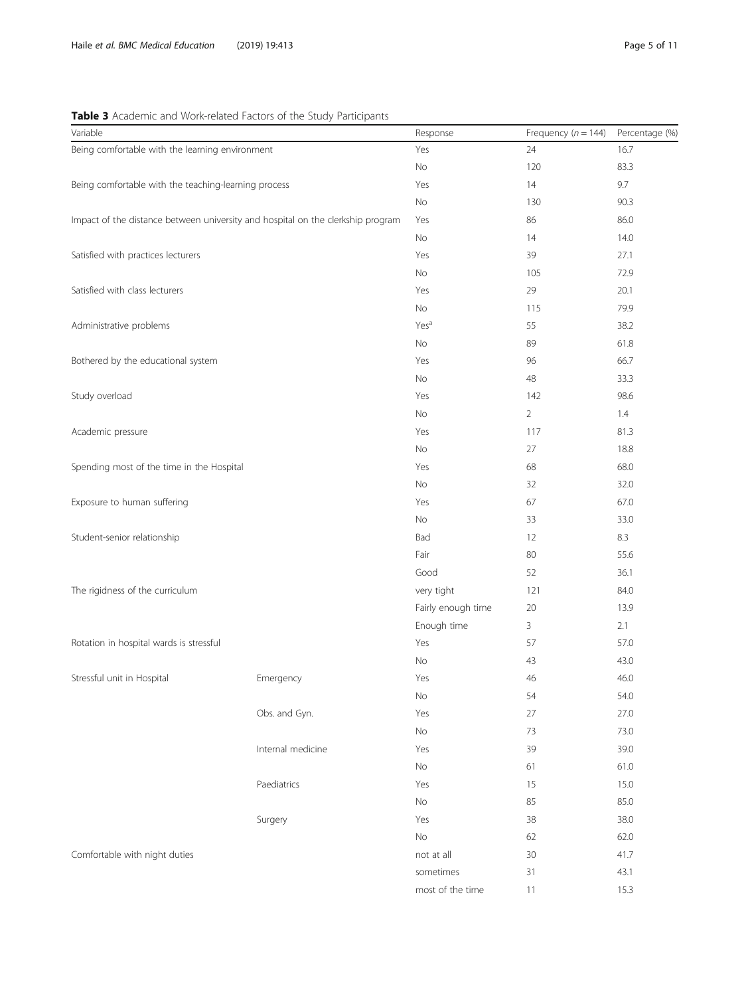# <span id="page-4-0"></span>Table 3 Academic and Work-related Factors of the Study Participants

| Variable                                             |                                                                                 | Response           | Frequency ( $n = 144$ ) | Percentage (%) |
|------------------------------------------------------|---------------------------------------------------------------------------------|--------------------|-------------------------|----------------|
| Being comfortable with the learning environment      |                                                                                 | Yes                | 24                      | 16.7           |
|                                                      |                                                                                 | No                 | 120                     | 83.3           |
| Being comfortable with the teaching-learning process |                                                                                 | Yes                | 14                      | 9.7            |
|                                                      |                                                                                 | No                 | 130                     | 90.3           |
|                                                      | Impact of the distance between university and hospital on the clerkship program | Yes                | 86                      | 86.0           |
|                                                      |                                                                                 | No                 | 14                      | 14.0           |
| Satisfied with practices lecturers                   |                                                                                 | Yes                | 39                      | 27.1           |
|                                                      |                                                                                 | No                 | 105                     | 72.9           |
| Satisfied with class lecturers                       |                                                                                 | Yes                | 29                      | 20.1           |
|                                                      |                                                                                 | No                 | 115                     | 79.9           |
| Administrative problems                              |                                                                                 | Yes <sup>a</sup>   | 55                      | 38.2           |
|                                                      |                                                                                 | No                 | 89                      | 61.8           |
| Bothered by the educational system                   |                                                                                 | Yes                | 96                      | 66.7           |
|                                                      |                                                                                 | No                 | 48                      | 33.3           |
| Study overload                                       |                                                                                 | Yes                | 142                     | 98.6           |
|                                                      |                                                                                 | No                 | 2                       | 1.4            |
| Academic pressure                                    |                                                                                 | Yes                | 117                     | 81.3           |
|                                                      |                                                                                 | No                 | 27                      | 18.8           |
| Spending most of the time in the Hospital            |                                                                                 | Yes                | 68                      | 68.0           |
|                                                      |                                                                                 | No                 | 32                      | 32.0           |
| Exposure to human suffering                          |                                                                                 | Yes                | 67                      | 67.0           |
|                                                      |                                                                                 | No                 | 33                      | 33.0           |
| Student-senior relationship                          |                                                                                 | Bad                | 12                      | 8.3            |
|                                                      |                                                                                 | Fair               | 80                      | 55.6           |
|                                                      |                                                                                 | Good               | 52                      | 36.1           |
| The rigidness of the curriculum                      |                                                                                 | very tight         | 121                     | 84.0           |
|                                                      |                                                                                 | Fairly enough time | 20                      | 13.9           |
|                                                      |                                                                                 | Enough time        | 3                       | 2.1            |
| Rotation in hospital wards is stressful              |                                                                                 | Yes                | 57                      | 57.0           |
|                                                      |                                                                                 | No                 | 43                      | 43.0           |
| Stressful unit in Hospital                           | Emergency                                                                       | Yes                | 46                      | 46.0           |
|                                                      |                                                                                 | No                 | 54                      | 54.0           |
|                                                      | Obs. and Gyn.                                                                   | Yes                | 27                      | 27.0           |
|                                                      |                                                                                 | $\rm No$           | 73                      | 73.0           |
|                                                      | Internal medicine                                                               | Yes                | 39                      | 39.0           |
|                                                      |                                                                                 | No                 | 61                      | 61.0           |
|                                                      | Paediatrics                                                                     | Yes                | 15                      | 15.0           |
|                                                      |                                                                                 | No                 | 85                      | 85.0           |
|                                                      | Surgery                                                                         | Yes                | 38                      | 38.0           |
|                                                      |                                                                                 | No                 | 62                      | 62.0           |
| Comfortable with night duties                        |                                                                                 | not at all         | 30                      | 41.7           |
|                                                      |                                                                                 | sometimes          | 31                      | 43.1           |
|                                                      |                                                                                 | most of the time   | 11                      | 15.3           |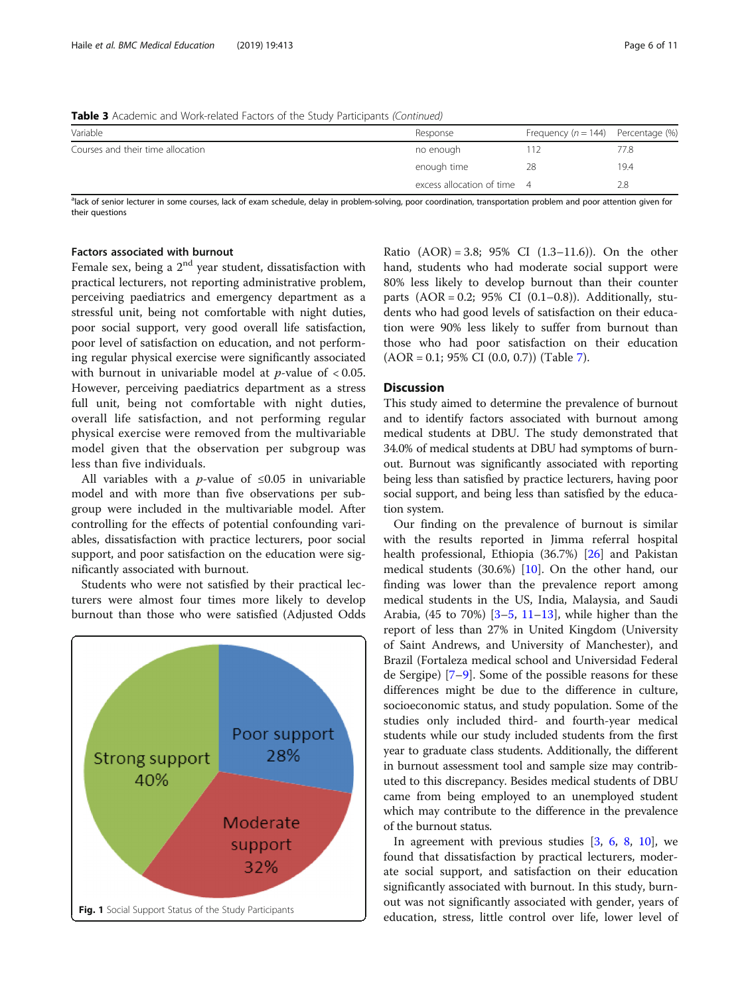<span id="page-5-0"></span>Table 3 Academic and Work-related Factors of the Study Participants (Continued)

| Variable                          | Response                    | Frequency ( $n = 144$ ) Percentage (%) |      |
|-----------------------------------|-----------------------------|----------------------------------------|------|
| Courses and their time allocation | no enough                   |                                        | 77.8 |
|                                   | enough time                 | 28                                     | 19.4 |
|                                   | excess allocation of time 4 |                                        | 2.8  |

<sup>a</sup>lack of senior lecturer in some courses, lack of exam schedule, delay in problem-solving, poor coordination, transportation problem and poor attention given for their questions

# Factors associated with burnout

Female sex, being a  $2<sup>nd</sup>$  year student, dissatisfaction with practical lecturers, not reporting administrative problem, perceiving paediatrics and emergency department as a stressful unit, being not comfortable with night duties, poor social support, very good overall life satisfaction, poor level of satisfaction on education, and not performing regular physical exercise were significantly associated with burnout in univariable model at  $p$ -value of < 0.05. However, perceiving paediatrics department as a stress full unit, being not comfortable with night duties, overall life satisfaction, and not performing regular physical exercise were removed from the multivariable model given that the observation per subgroup was less than five individuals.

All variables with a *p*-value of  $\leq 0.05$  in univariable model and with more than five observations per subgroup were included in the multivariable model. After controlling for the effects of potential confounding variables, dissatisfaction with practice lecturers, poor social support, and poor satisfaction on the education were significantly associated with burnout.

Students who were not satisfied by their practical lecturers were almost four times more likely to develop burnout than those who were satisfied (Adjusted Odds



Ratio  $(AOR) = 3.8$ ; 95% CI  $(1.3-11.6)$ ). On the other hand, students who had moderate social support were 80% less likely to develop burnout than their counter parts  $(AOR = 0.2; 95\% \text{ CI } (0.1-0.8))$ . Additionally, students who had good levels of satisfaction on their education were 90% less likely to suffer from burnout than those who had poor satisfaction on their education  $(AOR = 0.1; 95\% \text{ CI } (0.0, 0.7))$  $(AOR = 0.1; 95\% \text{ CI } (0.0, 0.7))$  $(AOR = 0.1; 95\% \text{ CI } (0.0, 0.7))$  (Table 7).

# **Discussion**

This study aimed to determine the prevalence of burnout and to identify factors associated with burnout among medical students at DBU. The study demonstrated that 34.0% of medical students at DBU had symptoms of burnout. Burnout was significantly associated with reporting being less than satisfied by practice lecturers, having poor social support, and being less than satisfied by the education system.

Our finding on the prevalence of burnout is similar with the results reported in Jimma referral hospital health professional, Ethiopia (36.7%) [[26\]](#page-10-0) and Pakistan medical students  $(30.6%)$  [\[10\]](#page-9-0). On the other hand, our finding was lower than the prevalence report among medical students in the US, India, Malaysia, and Saudi Arabia,  $(45 \text{ to } 70\%)$   $[3-5, 11-13]$  $[3-5, 11-13]$  $[3-5, 11-13]$  $[3-5, 11-13]$  $[3-5, 11-13]$  $[3-5, 11-13]$  $[3-5, 11-13]$  $[3-5, 11-13]$ , while higher than the report of less than 27% in United Kingdom (University of Saint Andrews, and University of Manchester), and Brazil (Fortaleza medical school and Universidad Federal de Sergipe) [[7](#page-9-0)–[9](#page-9-0)]. Some of the possible reasons for these differences might be due to the difference in culture, socioeconomic status, and study population. Some of the studies only included third- and fourth-year medical students while our study included students from the first year to graduate class students. Additionally, the different in burnout assessment tool and sample size may contributed to this discrepancy. Besides medical students of DBU came from being employed to an unemployed student which may contribute to the difference in the prevalence of the burnout status.

In agreement with previous studies [[3,](#page-9-0) [6,](#page-9-0) [8](#page-9-0), [10](#page-9-0)], we found that dissatisfaction by practical lecturers, moderate social support, and satisfaction on their education significantly associated with burnout. In this study, burnout was not significantly associated with gender, years of education, stress, little control over life, lower level of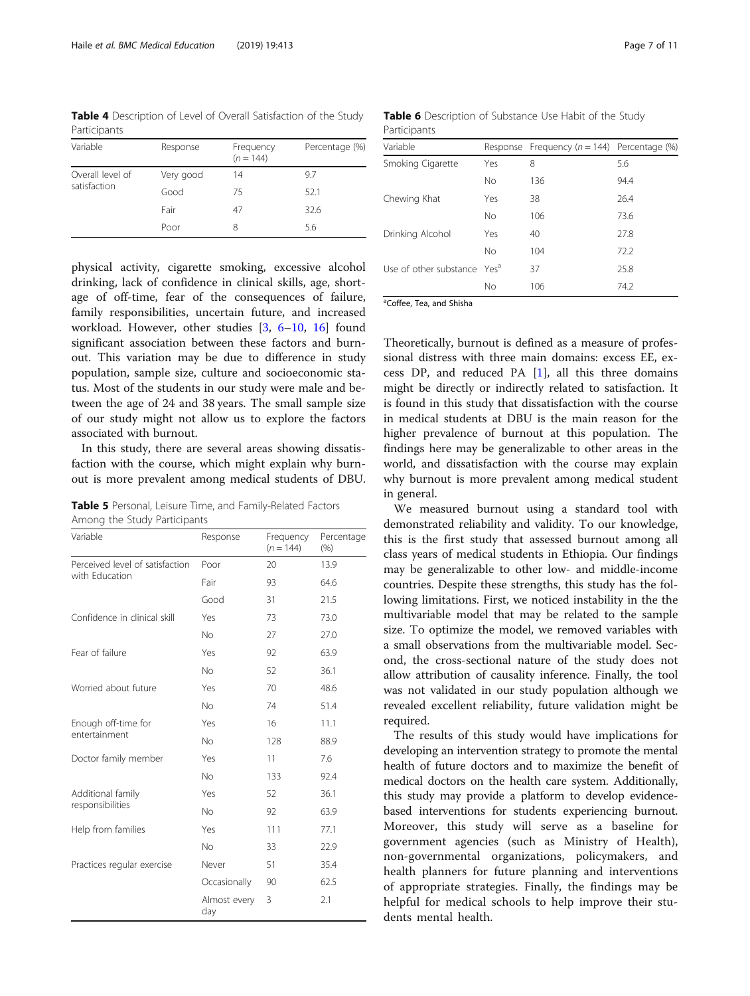<span id="page-6-0"></span>Table 4 Description of Level of Overall Satisfaction of the Study Participants

| Variable                         | Response  | Frequency<br>$(n = 144)$ | Percentage (%) |
|----------------------------------|-----------|--------------------------|----------------|
| Overall level of<br>satisfaction | Very good | 14                       | 9.7            |
|                                  | Good      | 75                       | 52.1           |
|                                  | Fair      | 47                       | 32.6           |
|                                  | Poor      | 8                        | 5.6            |

physical activity, cigarette smoking, excessive alcohol drinking, lack of confidence in clinical skills, age, shortage of off-time, fear of the consequences of failure, family responsibilities, uncertain future, and increased workload. However, other studies [[3,](#page-9-0) [6](#page-9-0)–[10](#page-9-0), [16](#page-9-0)] found significant association between these factors and burnout. This variation may be due to difference in study population, sample size, culture and socioeconomic status. Most of the students in our study were male and between the age of 24 and 38 years. The small sample size of our study might not allow us to explore the factors associated with burnout.

In this study, there are several areas showing dissatisfaction with the course, which might explain why burnout is more prevalent among medical students of DBU.

Table 5 Personal, Leisure Time, and Family-Related Factors Among the Study Participants

| Variable                        | Response            | Frequency<br>$(n = 144)$ | Percentage<br>(% ) |
|---------------------------------|---------------------|--------------------------|--------------------|
| Perceived level of satisfaction | Poor                | 20                       | 13.9               |
| with Education                  | Fair                | 93                       | 64.6               |
|                                 | Good                | 31                       | 21.5               |
| Confidence in clinical skill    | Yes                 | 73                       | 73.0               |
|                                 | N <sub>o</sub>      | 27                       | 27.0               |
| Fear of failure                 | Yes                 | 92                       | 63.9               |
|                                 | N <sub>o</sub>      | 52                       | 36.1               |
| Worried about future            | Yes                 | 70                       | 48.6               |
|                                 | N <sub>o</sub>      | 74                       | 51.4               |
| Enough off-time for             | Yes                 | 16                       | 11.1               |
| entertainment                   | N <sub>o</sub>      | 128                      | 88.9               |
| Doctor family member            | Yes                 | 11                       | 7.6                |
|                                 | N <sub>o</sub>      | 133                      | 92.4               |
| Additional family               | Yes                 | 52                       | 36.1               |
| responsibilities                | N <sub>o</sub>      | 92                       | 63.9               |
| Help from families              | Yes                 | 111                      | 77.1               |
|                                 | N <sub>o</sub>      | 33                       | 22.9               |
| Practices regular exercise      | Never               | 51                       | 35.4               |
|                                 | Occasionally        | 90                       | 62.5               |
|                                 | Almost every<br>day | 3                        | 2.1                |

Participants Variable Response Frequency ( $n = 144$ ) Percentage (%) Smoking Cigarette Yes 8 5.6 No 136 94.4

Table 6 Description of Substance Use Habit of the Study

| Smoking Cigarette                       | <b>Yes</b> | x   | 5.6  |
|-----------------------------------------|------------|-----|------|
|                                         | No         | 136 | 94.4 |
| Chewing Khat                            | Yes        | 38  | 26.4 |
|                                         | No         | 106 | 73.6 |
| Drinking Alcohol                        | Yes        | 40  | 27.8 |
|                                         | <b>No</b>  | 104 | 72.2 |
| Use of other substance Yes <sup>a</sup> |            | 37  | 25.8 |
|                                         | Νo         | 106 | 74.2 |

<sup>a</sup>Coffee, Tea, and Shisha

Theoretically, burnout is defined as a measure of professional distress with three main domains: excess EE, excess DP, and reduced PA [[1](#page-9-0)], all this three domains might be directly or indirectly related to satisfaction. It is found in this study that dissatisfaction with the course in medical students at DBU is the main reason for the higher prevalence of burnout at this population. The findings here may be generalizable to other areas in the world, and dissatisfaction with the course may explain why burnout is more prevalent among medical student in general.

We measured burnout using a standard tool with demonstrated reliability and validity. To our knowledge, this is the first study that assessed burnout among all class years of medical students in Ethiopia. Our findings may be generalizable to other low- and middle-income countries. Despite these strengths, this study has the following limitations. First, we noticed instability in the the multivariable model that may be related to the sample size. To optimize the model, we removed variables with a small observations from the multivariable model. Second, the cross-sectional nature of the study does not allow attribution of causality inference. Finally, the tool was not validated in our study population although we revealed excellent reliability, future validation might be required.

The results of this study would have implications for developing an intervention strategy to promote the mental health of future doctors and to maximize the benefit of medical doctors on the health care system. Additionally, this study may provide a platform to develop evidencebased interventions for students experiencing burnout. Moreover, this study will serve as a baseline for government agencies (such as Ministry of Health), non-governmental organizations, policymakers, and health planners for future planning and interventions of appropriate strategies. Finally, the findings may be helpful for medical schools to help improve their students mental health.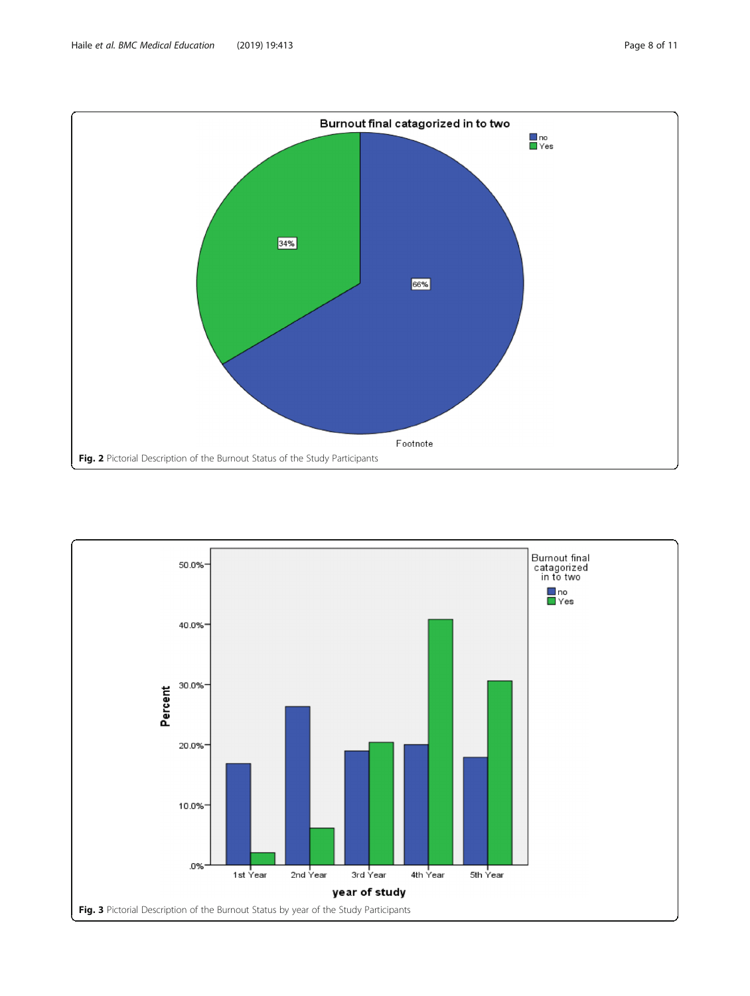<span id="page-7-0"></span>

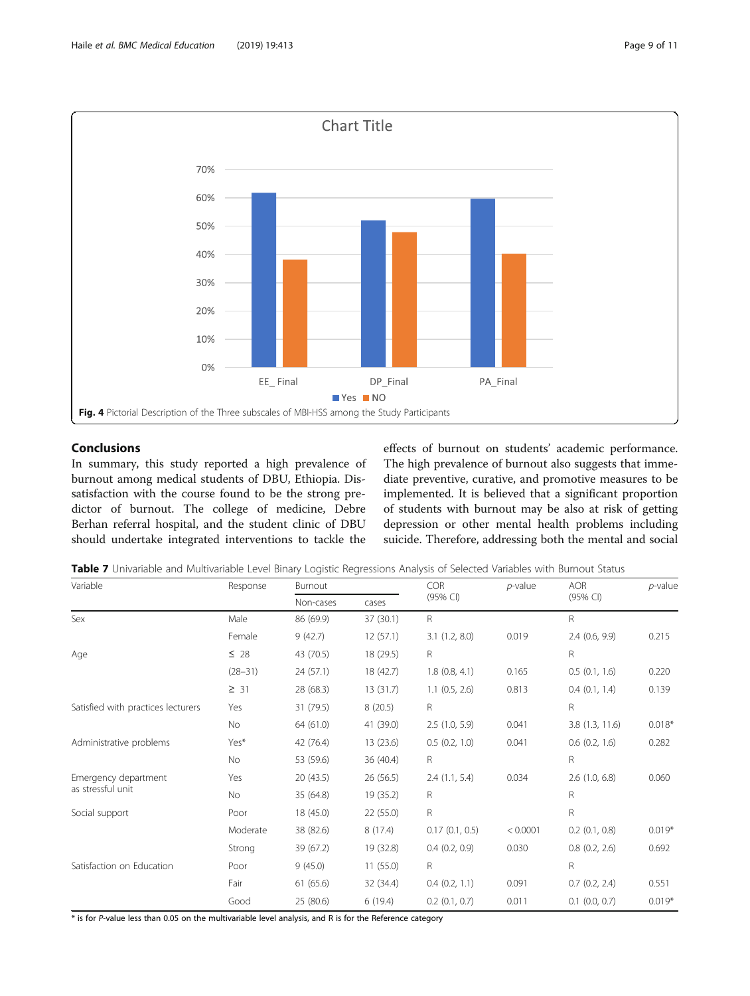<span id="page-8-0"></span>

# Conclusions

In summary, this study reported a high prevalence of burnout among medical students of DBU, Ethiopia. Dissatisfaction with the course found to be the strong predictor of burnout. The college of medicine, Debre Berhan referral hospital, and the student clinic of DBU should undertake integrated interventions to tackle the effects of burnout on students' academic performance. The high prevalence of burnout also suggests that immediate preventive, curative, and promotive measures to be implemented. It is believed that a significant proportion of students with burnout may be also at risk of getting depression or other mental health problems including suicide. Therefore, addressing both the mental and social

Table 7 Univariable and Multivariable Level Binary Logistic Regressions Analysis of Selected Variables with Burnout Status

| Variable                           | Response    | Burnout   |           | <b>COR</b><br>(95% CI) | $p$ -value | <b>AOR</b>         | $p$ -value |
|------------------------------------|-------------|-----------|-----------|------------------------|------------|--------------------|------------|
|                                    |             | Non-cases | cases     |                        |            | (95% CI)           |            |
| Sex                                | Male        | 86 (69.9) | 37 (30.1) | $\mathsf{R}$           |            | R                  |            |
|                                    | Female      | 9(42.7)   | 12(57.1)  | 3.1(1.2, 8.0)          | 0.019      | 2.4(0.6, 9.9)      | 0.215      |
| Age                                | $\leq 28$   | 43 (70.5) | 18 (29.5) | $\mathsf R$            |            | R                  |            |
|                                    | $(28 - 31)$ | 24(57.1)  | 18 (42.7) | 1.8(0.8, 4.1)          | 0.165      | 0.5(0.1, 1.6)      | 0.220      |
|                                    | $\geq$ 31   | 28 (68.3) | 13(31.7)  | $1.1$ (0.5, 2.6)       | 0.813      | $0.4$ $(0.1, 1.4)$ | 0.139      |
| Satisfied with practices lecturers | Yes         | 31 (79.5) | 8(20.5)   | $\mathsf{R}$           |            | R.                 |            |
|                                    | No          | 64 (61.0) | 41 (39.0) | 2.5(1.0, 5.9)          | 0.041      | 3.8(1.3, 11.6)     | $0.018*$   |
| Administrative problems            | Yes*        | 42 (76.4) | 13(23.6)  | 0.5(0.2, 1.0)          | 0.041      | $0.6$ $(0.2, 1.6)$ | 0.282      |
|                                    | No          | 53 (59.6) | 36(40.4)  | $\mathsf{R}$           |            | R                  |            |
| Emergency department               | Yes         | 20 (43.5) | 26(56.5)  | 2.4(1.1, 5.4)          | 0.034      | $2.6$ (1.0, 6.8)   | 0.060      |
| as stressful unit                  | <b>No</b>   | 35 (64.8) | 19 (35.2) | $\mathsf R$            |            | R                  |            |
| Social support                     | Poor        | 18 (45.0) | 22(55.0)  | R                      |            | R                  |            |
|                                    | Moderate    | 38 (82.6) | 8(17.4)   | 0.17(0.1, 0.5)         | < 0.0001   | $0.2$ $(0.1, 0.8)$ | $0.019*$   |
|                                    | Strong      | 39 (67.2) | 19 (32.8) | $0.4$ $(0.2, 0.9)$     | 0.030      | $0.8$ $(0.2, 2.6)$ | 0.692      |
| Satisfaction on Education          | Poor        | 9(45.0)   | 11(55.0)  | $\mathsf R$            |            | R                  |            |
|                                    | Fair        | 61(65.6)  | 32 (34.4) | $0.4$ $(0.2, 1.1)$     | 0.091      | $0.7$ $(0.2, 2.4)$ | 0.551      |
|                                    | Good        | 25 (80.6) | 6(19.4)   | $0.2$ (0.1, 0.7)       | 0.011      | $0.1$ $(0.0, 0.7)$ | $0.019*$   |

\* is for P-value less than 0.05 on the multivariable level analysis, and R is for the Reference category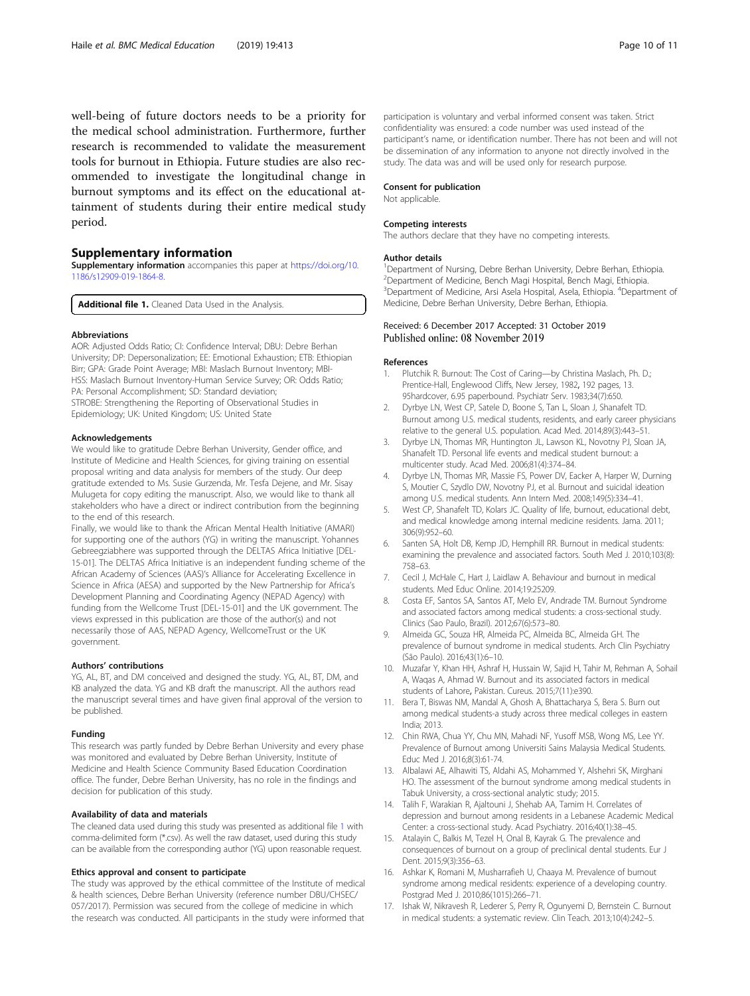<span id="page-9-0"></span>well-being of future doctors needs to be a priority for the medical school administration. Furthermore, further research is recommended to validate the measurement tools for burnout in Ethiopia. Future studies are also recommended to investigate the longitudinal change in burnout symptoms and its effect on the educational attainment of students during their entire medical study period.

# Supplementary information

Supplementary information accompanies this paper at [https://doi.org/10.](https://doi.org/10.1186/s12909-019-1864-8) [1186/s12909-019-1864-8.](https://doi.org/10.1186/s12909-019-1864-8)

Additional file 1. Cleaned Data Used in the Analysis.

### Abbreviations

AOR: Adjusted Odds Ratio; CI: Confidence Interval; DBU: Debre Berhan University; DP: Depersonalization; EE: Emotional Exhaustion; ETB: Ethiopian Birr; GPA: Grade Point Average; MBI: Maslach Burnout Inventory; MBI-HSS: Maslach Burnout Inventory-Human Service Survey; OR: Odds Ratio; PA: Personal Accomplishment; SD: Standard deviation; STROBE: Strengthening the Reporting of Observational Studies in Epidemiology; UK: United Kingdom; US: United State

#### Acknowledgements

We would like to gratitude Debre Berhan University, Gender office, and Institute of Medicine and Health Sciences, for giving training on essential proposal writing and data analysis for members of the study. Our deep gratitude extended to Ms. Susie Gurzenda, Mr. Tesfa Dejene, and Mr. Sisay Mulugeta for copy editing the manuscript. Also, we would like to thank all stakeholders who have a direct or indirect contribution from the beginning to the end of this research.

Finally, we would like to thank the African Mental Health Initiative (AMARI) for supporting one of the authors (YG) in writing the manuscript. Yohannes Gebreegziabhere was supported through the DELTAS Africa Initiative [DEL-15-01]. The DELTAS Africa Initiative is an independent funding scheme of the African Academy of Sciences (AAS)'s Alliance for Accelerating Excellence in Science in Africa (AESA) and supported by the New Partnership for Africa's Development Planning and Coordinating Agency (NEPAD Agency) with funding from the Wellcome Trust [DEL-15-01] and the UK government. The views expressed in this publication are those of the author(s) and not necessarily those of AAS, NEPAD Agency, WellcomeTrust or the UK government.

### Authors' contributions

YG, AL, BT, and DM conceived and designed the study. YG, AL, BT, DM, and KB analyzed the data. YG and KB draft the manuscript. All the authors read the manuscript several times and have given final approval of the version to be published.

# Funding

This research was partly funded by Debre Berhan University and every phase was monitored and evaluated by Debre Berhan University, Institute of Medicine and Health Science Community Based Education Coordination office. The funder, Debre Berhan University, has no role in the findings and decision for publication of this study.

#### Availability of data and materials

The cleaned data used during this study was presented as additional file 1 with comma-delimited form (\*.csv). As well the raw dataset, used during this study can be available from the corresponding author (YG) upon reasonable request.

#### Ethics approval and consent to participate

The study was approved by the ethical committee of the Institute of medical & health sciences, Debre Berhan University (reference number DBU/CHSEC/ 057/2017). Permission was secured from the college of medicine in which the research was conducted. All participants in the study were informed that participation is voluntary and verbal informed consent was taken. Strict confidentiality was ensured: a code number was used instead of the participant's name, or identification number. There has not been and will not be dissemination of any information to anyone not directly involved in the study. The data was and will be used only for research purpose.

#### Consent for publication

Not applicable.

#### Competing interests

The authors declare that they have no competing interests.

#### Author details

<sup>1</sup>Department of Nursing, Debre Berhan University, Debre Berhan, Ethiopia 2 Department of Medicine, Bench Magi Hospital, Bench Magi, Ethiopia. <sup>3</sup>Department of Medicine, Arsi Asela Hospital, Asela, Ethiopia. <sup>4</sup>Department of Medicine, Debre Berhan University, Debre Berhan, Ethiopia.

#### Received: 6 December 2017 Accepted: 31 October 2019 Published online: 08 November 2019

#### References

- 1. Plutchik R. Burnout: The Cost of Caring—by Christina Maslach, Ph. D.; Prentice-Hall, Englewood Cliffs, New Jersey, 1982, 192 pages, 13. 95hardcover, 6.95 paperbound. Psychiatr Serv. 1983;34(7):650.
- 2. Dyrbye LN, West CP, Satele D, Boone S, Tan L, Sloan J, Shanafelt TD. Burnout among U.S. medical students, residents, and early career physicians relative to the general U.S. population. Acad Med. 2014;89(3):443–51.
- 3. Dyrbye LN, Thomas MR, Huntington JL, Lawson KL, Novotny PJ, Sloan JA, Shanafelt TD. Personal life events and medical student burnout: a multicenter study. Acad Med. 2006;81(4):374–84.
- 4. Dyrbye LN, Thomas MR, Massie FS, Power DV, Eacker A, Harper W, Durning S, Moutier C, Szydlo DW, Novotny PJ, et al. Burnout and suicidal ideation among U.S. medical students. Ann Intern Med. 2008;149(5):334–41.
- West CP, Shanafelt TD, Kolars JC. Quality of life, burnout, educational debt, and medical knowledge among internal medicine residents. Jama. 2011; 306(9):952–60.
- 6. Santen SA, Holt DB, Kemp JD, Hemphill RR. Burnout in medical students: examining the prevalence and associated factors. South Med J. 2010;103(8): 758–63.
- 7. Cecil J, McHale C, Hart J, Laidlaw A. Behaviour and burnout in medical students. Med Educ Online. 2014;19:25209.
- 8. Costa EF, Santos SA, Santos AT, Melo EV, Andrade TM. Burnout Syndrome and associated factors among medical students: a cross-sectional study. Clinics (Sao Paulo, Brazil). 2012;67(6):573–80.
- 9. Almeida GC, Souza HR, Almeida PC, Almeida BC, Almeida GH. The prevalence of burnout syndrome in medical students. Arch Clin Psychiatry (São Paulo). 2016;43(1):6–10.
- 10. Muzafar Y, Khan HH, Ashraf H, Hussain W, Sajid H, Tahir M, Rehman A, Sohail A, Waqas A, Ahmad W. Burnout and its associated factors in medical students of Lahore, Pakistan. Cureus. 2015;7(11):e390.
- 11. Bera T, Biswas NM, Mandal A, Ghosh A, Bhattacharya S, Bera S. Burn out among medical students-a study across three medical colleges in eastern India; 2013.
- 12. Chin RWA, Chua YY, Chu MN, Mahadi NF, Yusoff MSB, Wong MS, Lee YY. Prevalence of Burnout among Universiti Sains Malaysia Medical Students. Educ Med J. 2016;8(3):61-74.
- 13. Albalawi AE, Alhawiti TS, Aldahi AS, Mohammed Y, Alshehri SK, Mirghani HO. The assessment of the burnout syndrome among medical students in Tabuk University, a cross-sectional analytic study; 2015.
- 14. Talih F, Warakian R, Ajaltouni J, Shehab AA, Tamim H. Correlates of depression and burnout among residents in a Lebanese Academic Medical Center: a cross-sectional study. Acad Psychiatry. 2016;40(1):38–45.
- 15. Atalayin C, Balkis M, Tezel H, Onal B, Kayrak G. The prevalence and consequences of burnout on a group of preclinical dental students. Eur J Dent. 2015;9(3):356–63.
- 16. Ashkar K, Romani M, Musharrafieh U, Chaaya M. Prevalence of burnout syndrome among medical residents: experience of a developing country. Postgrad Med J. 2010;86(1015):266–71.
- 17. Ishak W, Nikravesh R, Lederer S, Perry R, Ogunyemi D, Bernstein C. Burnout in medical students: a systematic review. Clin Teach. 2013;10(4):242–5.